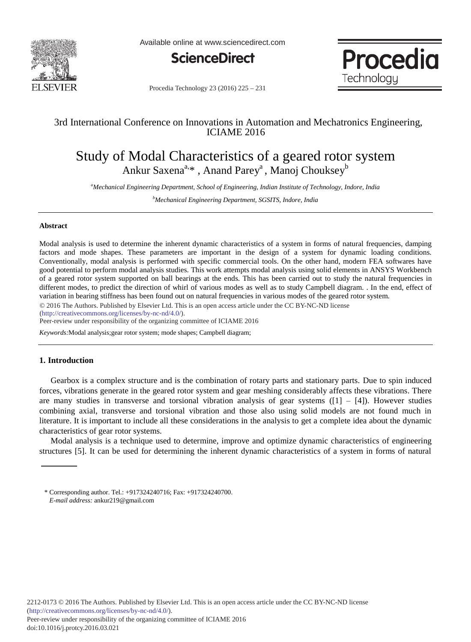

Available online at www.sciencedirect.com



Procedia Technology

Procedia Technology 23 (2016) 225 - 231

## 3rd International Conference on Innovations in Automation and Mechatronics Engineering, ICIAME 2016

# Study of Modal Characteristics of a geared rotor system Ankur Saxena<sup>a, \*</sup> , Anand Parey<sup>a</sup> , Manoj Chouksey<sup>b</sup>

*a Mechanical Engineering Department, School of Engineering, Indian Institute of Technology, Indore, India*

*b Mechanical Engineering Department, SGSITS, Indore, India*

## **Abstract**

Modal analysis is used to determine the inherent dynamic characteristics of a system in forms of natural frequencies, damping factors and mode shapes. These parameters are important in the design of a system for dynamic loading conditions. Conventionally, modal analysis is performed with specific commercial tools. On the other hand, modern FEA softwares have good potential to perform modal analysis studies. This work attempts modal analysis using solid elements in ANSYS Workbench of a geared rotor system supported on ball bearings at the ends. This has been carried out to study the natural frequencies in different modes, to predict the direction of whirl of various modes as well as to study Campbell diagram. . In the end, effect of variation in bearing stiffness has been found out on natural frequencies in various modes of the geared rotor system.

© 2016 The Authors. Published by Elsevier Ltd. This is an open access article under the CC BY-NC-ND license

(http://creativecommons.org/licenses/by-nc-nd/4.0/).

Peer-review under responsibility of the organizing committee of ICIAME 2016

*Keywords:*Modal analysis;gear rotor system; mode shapes; Campbell diagram;

## **1. Introduction**

Gearbox is a complex structure and is the combination of rotary parts and stationary parts. Due to spin induced forces, vibrations generate in the geared rotor system and gear meshing considerably affects these vibrations. There are many studies in transverse and torsional vibration analysis of gear systems  $(1] - [4]$ ). However studies combining axial, transverse and torsional vibration and those also using solid models are not found much in literature. It is important to include all these considerations in the analysis to get a complete idea about the dynamic characteristics of gear rotor systems.

Modal analysis is a technique used to determine, improve and optimize dynamic characteristics of engineering structures [5]. It can be used for determining the inherent dynamic characteristics of a system in forms of natural

<sup>\*</sup> Corresponding author. Tel.: +917324240716; Fax: +917324240700. *E-mail address:* ankur219@gmail.com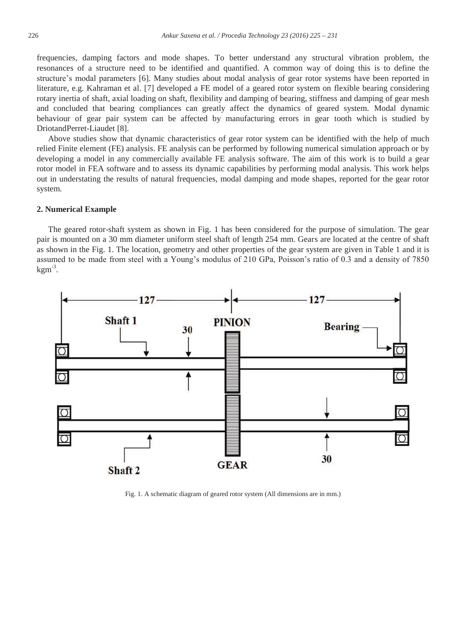frequencies, damping factors and mode shapes. To better understand any structural vibration problem, the resonances of a structure need to be identified and quantified. A common way of doing this is to define the structure's modal parameters [6]. Many studies about modal analysis of gear rotor systems have been reported in literature, e.g. Kahraman et al. [7] developed a FE model of a geared rotor system on flexible bearing considering rotary inertia of shaft, axial loading on shaft, flexibility and damping of bearing, stiffness and damping of gear mesh and concluded that bearing compliances can greatly affect the dynamics of geared system. Modal dynamic behaviour of gear pair system can be affected by manufacturing errors in gear tooth which is studied by DriotandPerret-Liaudet [8].

Above studies show that dynamic characteristics of gear rotor system can be identified with the help of much relied Finite element (FE) analysis. FE analysis can be performed by following numerical simulation approach or by developing a model in any commercially available FE analysis software. The aim of this work is to build a gear rotor model in FEA software and to assess its dynamic capabilities by performing modal analysis. This work helps out in understating the results of natural frequencies, modal damping and mode shapes, reported for the gear rotor system.

## **2. Numerical Example**

The geared rotor-shaft system as shown in Fig. 1 has been considered for the purpose of simulation. The gear pair is mounted on a 30 mm diameter uniform steel shaft of length 254 mm. Gears are located at the centre of shaft as shown in the Fig. 1. The location, geometry and other properties of the gear system are given in Table 1 and it is assumed to be made from steel with a Young's modulus of 210 GPa, Poisson's ratio of 0.3 and a density of 7850  $kgm^{-3}$ .



Fig. 1. A schematic diagram of geared rotor system (All dimensions are in mm.)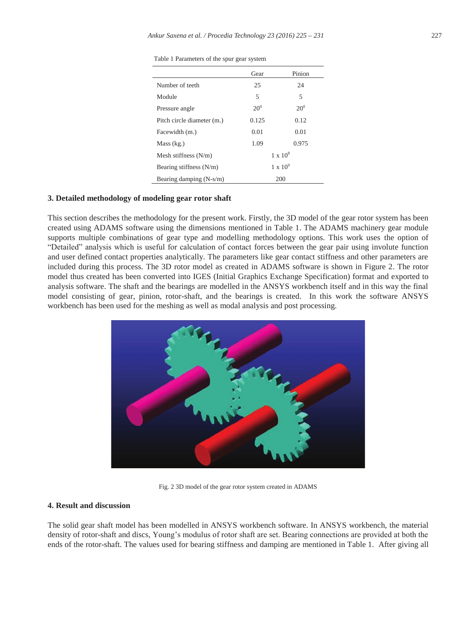|  | Table 1 Parameters of the spur gear system |  |  |  |  |
|--|--------------------------------------------|--|--|--|--|
|--|--------------------------------------------|--|--|--|--|

|                            | Gear     | Pinion            |
|----------------------------|----------|-------------------|
| Number of teeth            | 25       | 24                |
| Module                     | 5        | 5                 |
| Pressure angle             | $20^{0}$ | $20^{0}$          |
| Pitch circle diameter (m.) | 0.125    | 0.12              |
| Facewidth (m.)             | 0.01     | 0.01              |
| Mass (kg.)                 | 1.09     | 0.975             |
| Mesh stiffness $(N/m)$     |          | $1 \times 10^8$   |
| Bearing stiffness (N/m)    |          | $1 \times 10^{9}$ |
| Bearing damping (N-s/m)    |          | 200               |

## **3. Detailed methodology of modeling gear rotor shaft**

This section describes the methodology for the present work. Firstly, the 3D model of the gear rotor system has been created using ADAMS software using the dimensions mentioned in Table 1. The ADAMS machinery gear module supports multiple combinations of gear type and modelling methodology options. This work uses the option of "Detailed" analysis which is useful for calculation of contact forces between the gear pair using involute function and user defined contact properties analytically. The parameters like gear contact stiffness and other parameters are included during this process. The 3D rotor model as created in ADAMS software is shown in Figure 2. The rotor model thus created has been converted into IGES (Initial Graphics Exchange Specification) format and exported to analysis software. The shaft and the bearings are modelled in the ANSYS workbench itself and in this way the final model consisting of gear, pinion, rotor-shaft, and the bearings is created. In this work the software ANSYS workbench has been used for the meshing as well as modal analysis and post processing.



Fig. 2 3D model of the gear rotor system created in ADAMS

## **4. Result and discussion**

The solid gear shaft model has been modelled in ANSYS workbench software. In ANSYS workbench, the material density of rotor-shaft and discs, Young's modulus of rotor shaft are set. Bearing connections are provided at both the ends of the rotor-shaft. The values used for bearing stiffness and damping are mentioned in Table 1. After giving all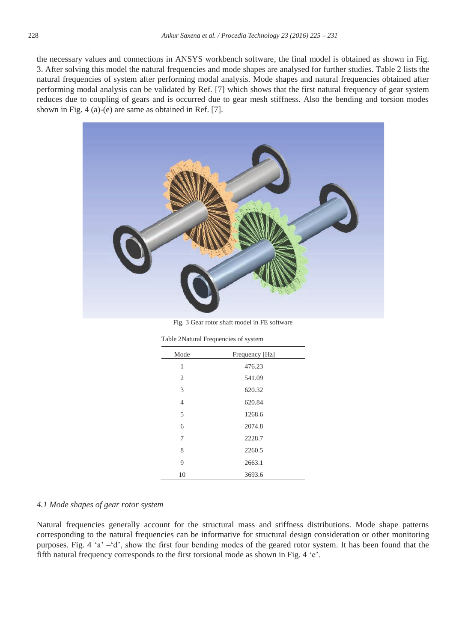the necessary values and connections in ANSYS workbench software, the final model is obtained as shown in Fig. 3. After solving this model the natural frequencies and mode shapes are analysed for further studies. Table 2 lists the natural frequencies of system after performing modal analysis. Mode shapes and natural frequencies obtained after performing modal analysis can be validated by Ref. [7] which shows that the first natural frequency of gear system reduces due to coupling of gears and is occurred due to gear mesh stiffness. Also the bending and torsion modes shown in Fig. 4 (a)-(e) are same as obtained in Ref. [7].



Fig. 3 Gear rotor shaft model in FE software

| Mode           | Frequency [Hz] |
|----------------|----------------|
| 1              | 476.23         |
| $\overline{2}$ | 541.09         |
| 3              | 620.32         |
| $\overline{4}$ | 620.84         |
| 5              | 1268.6         |
| 6              | 2074.8         |
| 7              | 2228.7         |
| 8              | 2260.5         |
| 9              | 2663.1         |
| 10             | 3693.6         |
|                |                |

Table 2Natural Frequencies of system

#### *4.1 Mode shapes of gear rotor system*

Natural frequencies generally account for the structural mass and stiffness distributions. Mode shape patterns corresponding to the natural frequencies can be informative for structural design consideration or other monitoring purposes. Fig. 4 'a' –'d', show the first four bending modes of the geared rotor system. It has been found that the fifth natural frequency corresponds to the first torsional mode as shown in Fig. 4 'e'.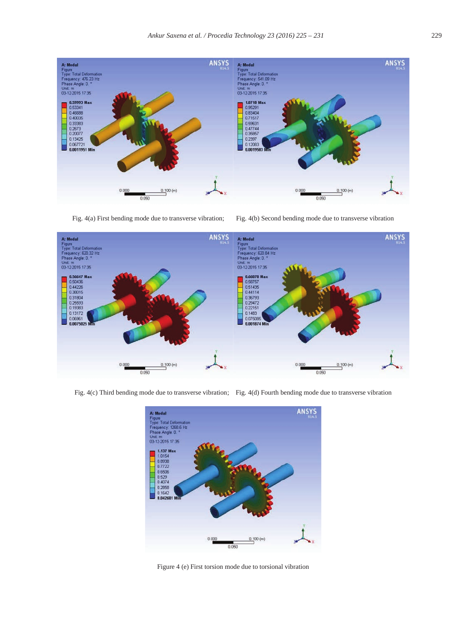

Fig. 4(a) First bending mode due to transverse vibration; Fig. 4(b) Second bending mode due to transverse vibration



Fig. 4(c) Third bending mode due to transverse vibration; Fig. 4(d) Fourth bending mode due to transverse vibration



Figure 4 (e) First torsion mode due to torsional vibration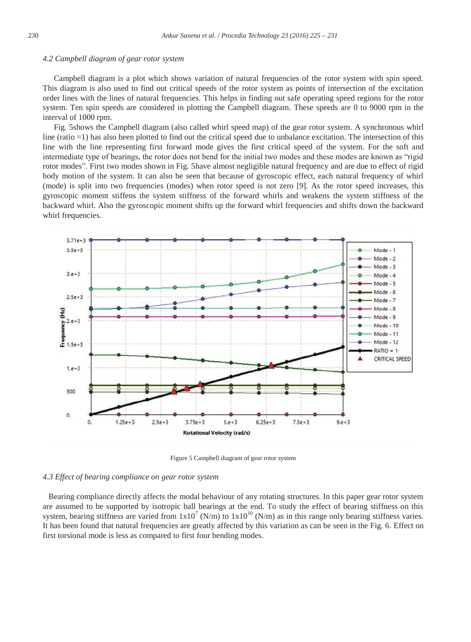#### *4.2 Campbell diagram of gear rotor system*

Campbell diagram is a plot which shows variation of natural frequencies of the rotor system with spin speed. This diagram is also used to find out critical speeds of the rotor system as points of intersection of the excitation order lines with the lines of natural frequencies. This helps in finding out safe operating speed regions for the rotor system. Ten spin speeds are considered in plotting the Campbell diagram. These speeds are 0 to 9000 rpm in the interval of 1000 rpm.

Fig. 5shows the Campbell diagram (also called whirl speed map) of the gear rotor system. A synchronous whirl line (ratio =1) has also been plotted to find out the critical speed due to unbalance excitation. The intersection of this line with the line representing first forward mode gives the first critical speed of the system. For the soft and intermediate type of bearings, the rotor does not bend for the initial two modes and these modes are known as "rigid rotor modes". First two modes shown in Fig. 5have almost negligible natural frequency and are due to effect of rigid body motion of the system. It can also be seen that because of gyroscopic effect, each natural frequency of whirl (mode) is split into two frequencies (modes) when rotor speed is not zero [9]. As the rotor speed increases, this gyroscopic moment stiffens the system stiffness of the forward whirls and weakens the system stiffness of the backward whirl. Also the gyroscopic moment shifts up the forward whirl frequencies and shifts down the backward whirl frequencies.



Figure 5 Campbell diagram of gear rotor system

### *4.3 Effect of bearing compliance on gear rotor system*

Bearing compliance directly affects the modal behaviour of any rotating structures. In this paper gear rotor system are assumed to be supported by isotropic ball bearings at the end. To study the effect of bearing stiffness on this system, bearing stiffness are varied from  $1x10^7$  (N/m) to  $1x10^{10}$  (N/m) as in this range only bearing stiffness varies. It has been found that natural frequencies are greatly affected by this variation as can be seen in the Fig. 6. Effect on first torsional mode is less as compared to first four bending modes.